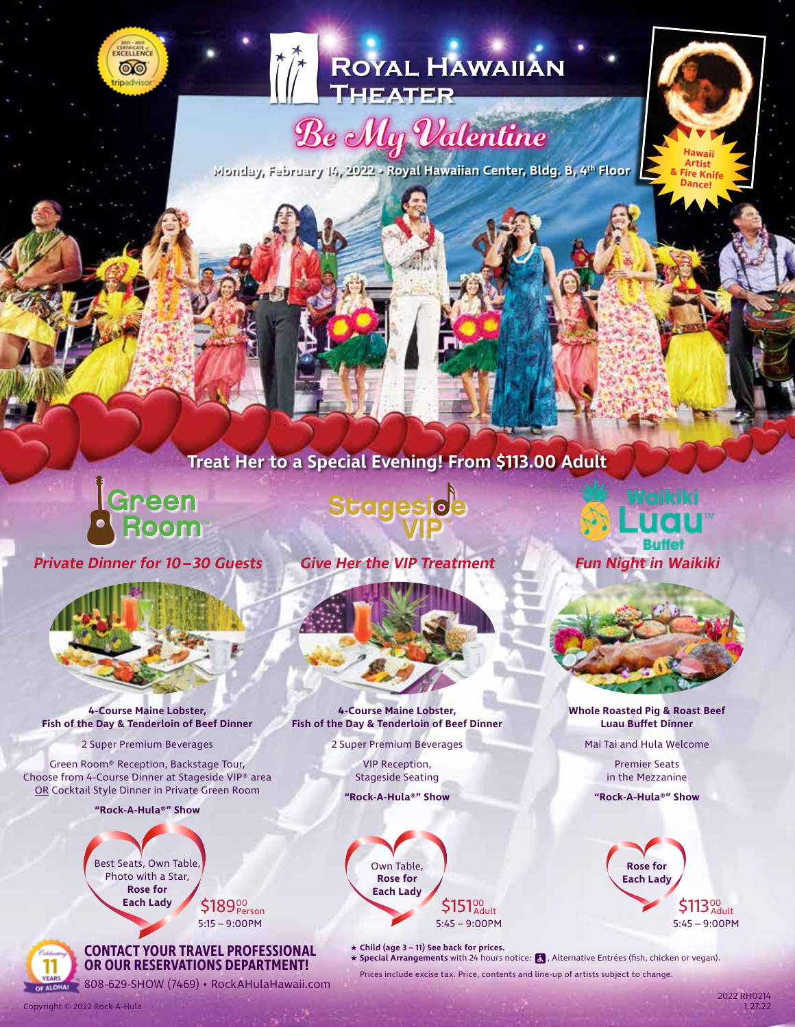



# Be My Valentine

**Monday, February 14, 2022 • Royal Hawaiian Center, Bldg. B, 4th Floor**

## **Treat Her to a Special Evening! From \$113.00 Adult**

Green

**Private Dinner for 10– 30 Guests**



**4-Course Maine Lobster, Fish of the Day & Tenderloin of Beef Dinner**

2 Super Premium Beverages

Green Room® Reception, Backstage Tour, Choose from 4-Course Dinner at Stageside VIP® area OR Cocktail Style Dinner in Private Green Room

**"Rock-A-Hula®" Show**



Copyright © 2022 Rock-A-Hula

5:15 – 9:00PM

**CONTACT YOUR TRAVEL PROFESSIONAL OR OUR RESERVATIONS DEPARTMENT!**

**EXERCISE 1808-629-SHOW (7469) • RockAHulaHawaii.com** 

**Stageside** 

**Give Her the VIP Treatment**



**4-Course Maine Lobster, Fish of the Day & Tenderloin of Beef Dinner**

2 Super Premium Beverages

VIP Reception, Stageside Seating **"Rock-A-Hula®" Show**



★ **Child (age 3 – 11) See back for prices.**

★ Special Arrangements with 24 hours notice: **&** , Alternative Entrées (fish, chicken or vegan).

Prices include excise tax. Price, contents and line-up of artists subject to change.



**Hawaii Artist Fire Knife Dance!**



**Whole Roasted Pig & Roast Beef Luau Buffet Dinner**

Mai Tai and Hula Welcome

Premier Seats in the Mezzanine

**"Rock-A-Hula®" Show**

**Rose for Each Lady** 5:45 – 9:00PM adult **\$113**<sup>00</sup>